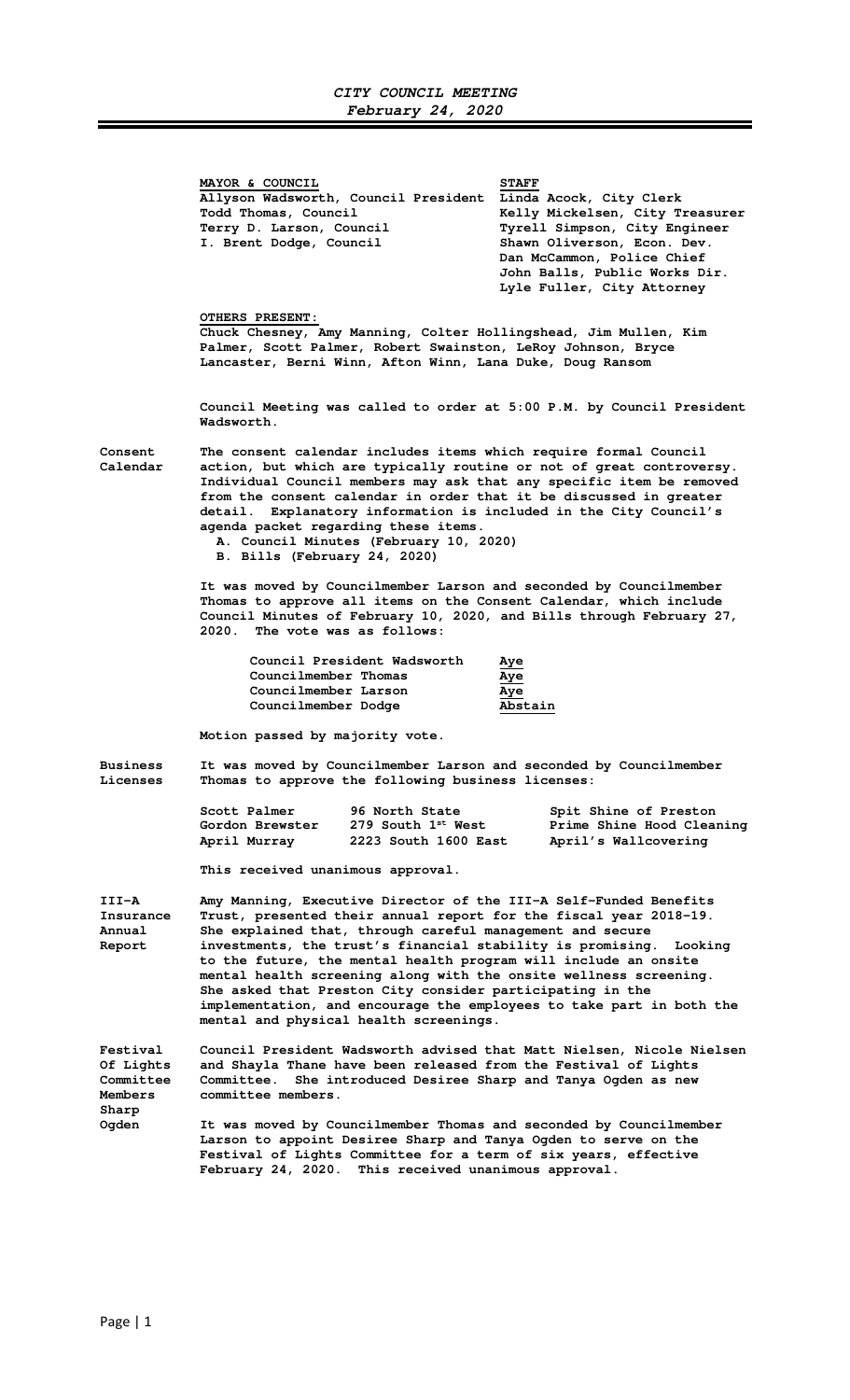|                                                      | MAYOR & COUNCIL<br>Allyson Wadsworth, Council President<br>Todd Thomas, Council<br>Terry D. Larson, Council<br>I. Brent Dodge, Council                                                                                                                                                                                                                                                                                                                                                                                                                                                                                                                                                                                              | <b>STAFF</b><br>Linda Acock, City Clerk<br>Kelly Mickelsen, City Treasurer<br>Tyrell Simpson, City Engineer<br>Shawn Oliverson, Econ. Dev.<br>Dan McCammon, Police Chief<br>John Balls, Public Works Dir.<br>Lyle Fuller, City Attorney |  |
|------------------------------------------------------|-------------------------------------------------------------------------------------------------------------------------------------------------------------------------------------------------------------------------------------------------------------------------------------------------------------------------------------------------------------------------------------------------------------------------------------------------------------------------------------------------------------------------------------------------------------------------------------------------------------------------------------------------------------------------------------------------------------------------------------|-----------------------------------------------------------------------------------------------------------------------------------------------------------------------------------------------------------------------------------------|--|
|                                                      | <b>OTHERS PRESENT:</b><br>Chuck Chesney, Amy Manning, Colter Hollingshead, Jim Mullen, Kim<br>Palmer, Scott Palmer, Robert Swainston, LeRoy Johnson, Bryce<br>Lancaster, Berni Winn, Afton Winn, Lana Duke, Doug Ransom                                                                                                                                                                                                                                                                                                                                                                                                                                                                                                             |                                                                                                                                                                                                                                         |  |
|                                                      | Council Meeting was called to order at 5:00 P.M. by Council President<br>Wadsworth.                                                                                                                                                                                                                                                                                                                                                                                                                                                                                                                                                                                                                                                 |                                                                                                                                                                                                                                         |  |
| Consent<br>Calendar                                  | The consent calendar includes items which require formal Council<br>action, but which are typically routine or not of great controversy.<br>Individual Council members may ask that any specific item be removed<br>from the consent calendar in order that it be discussed in greater<br>detail. Explanatory information is included in the City Council's<br>agenda packet regarding these items.<br>A. Council Minutes (February 10, 2020)<br>B. Bills (February 24, 2020)<br>It was moved by Councilmember Larson and seconded by Councilmember<br>Thomas to approve all items on the Consent Calendar, which include<br>Council Minutes of February 10, 2020, and Bills through February 27,<br>2020. The vote was as follows: |                                                                                                                                                                                                                                         |  |
|                                                      |                                                                                                                                                                                                                                                                                                                                                                                                                                                                                                                                                                                                                                                                                                                                     |                                                                                                                                                                                                                                         |  |
|                                                      | Council President Wadsworth<br>Councilmember Thomas<br>Councilmember Larson<br>Councilmember Dodge                                                                                                                                                                                                                                                                                                                                                                                                                                                                                                                                                                                                                                  | <u>Aye</u><br>Aye<br>Aye<br>Abstain                                                                                                                                                                                                     |  |
|                                                      | Motion passed by majority vote.                                                                                                                                                                                                                                                                                                                                                                                                                                                                                                                                                                                                                                                                                                     |                                                                                                                                                                                                                                         |  |
| <b>Business</b><br>Licenses                          | It was moved by Councilmember Larson and seconded by Councilmember<br>Thomas to approve the following business licenses:                                                                                                                                                                                                                                                                                                                                                                                                                                                                                                                                                                                                            |                                                                                                                                                                                                                                         |  |
|                                                      | Scott Palmer<br>96 North State<br>$279$ South $1^{st}$ West<br>Gordon Brewster<br>April Murray<br>2223 South 1600 East                                                                                                                                                                                                                                                                                                                                                                                                                                                                                                                                                                                                              | Spit Shine of Preston<br>Prime Shine Hood Cleaning<br>April's Wallcovering                                                                                                                                                              |  |
|                                                      | This received unanimous approval.                                                                                                                                                                                                                                                                                                                                                                                                                                                                                                                                                                                                                                                                                                   |                                                                                                                                                                                                                                         |  |
| III-A<br>Insurance<br>Annual<br>Report               | Amy Manning, Executive Director of the III-A Self-Funded Benefits<br>Trust, presented their annual report for the fiscal year 2018-19.<br>She explained that, through careful management and secure<br>investments, the trust's financial stability is promising.<br>Looking<br>to the future, the mental health program will include an onsite<br>mental health screening along with the onsite wellness screening.<br>She asked that Preston City consider participating in the<br>implementation, and encourage the employees to take part in both the<br>mental and physical health screenings.                                                                                                                                 |                                                                                                                                                                                                                                         |  |
| <b>Festival</b><br>Of Lights<br>Committee<br>Members | Council President Wadsworth advised that Matt Nielsen, Nicole Nielsen<br>and Shayla Thane have been released from the Festival of Lights<br>She introduced Desiree Sharp and Tanya Ogden as new<br>Committee.<br>committee members.                                                                                                                                                                                                                                                                                                                                                                                                                                                                                                 |                                                                                                                                                                                                                                         |  |
| Sharp<br>Oqden                                       | It was moved by Councilmember Thomas and seconded by Councilmember<br>Larson to appoint Desiree Sharp and Tanya Ogden to serve on the<br>Festival of Lights Committee for a term of six years, effective<br>February 24, 2020. This received unanimous approval.                                                                                                                                                                                                                                                                                                                                                                                                                                                                    |                                                                                                                                                                                                                                         |  |